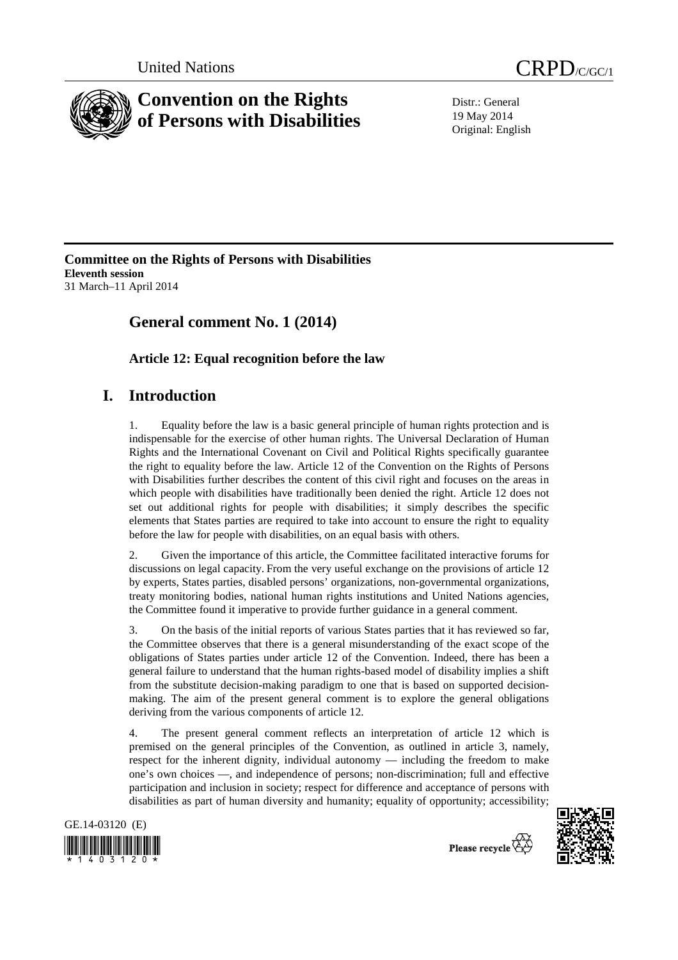



Distr.: General 19 May 2014 Original: English

**Committee on the Rights of Persons with Disabilities Eleventh session**  31 March–11 April 2014

# **General comment No. 1 (2014)**

# **Article 12: Equal recognition before the law**

# **I. Introduction**

1. Equality before the law is a basic general principle of human rights protection and is indispensable for the exercise of other human rights. The Universal Declaration of Human Rights and the International Covenant on Civil and Political Rights specifically guarantee the right to equality before the law. Article 12 of the Convention on the Rights of Persons with Disabilities further describes the content of this civil right and focuses on the areas in which people with disabilities have traditionally been denied the right. Article 12 does not set out additional rights for people with disabilities; it simply describes the specific elements that States parties are required to take into account to ensure the right to equality before the law for people with disabilities, on an equal basis with others.

2. Given the importance of this article, the Committee facilitated interactive forums for discussions on legal capacity. From the very useful exchange on the provisions of article 12 by experts, States parties, disabled persons' organizations, non-governmental organizations, treaty monitoring bodies, national human rights institutions and United Nations agencies, the Committee found it imperative to provide further guidance in a general comment.

3. On the basis of the initial reports of various States parties that it has reviewed so far, the Committee observes that there is a general misunderstanding of the exact scope of the obligations of States parties under article 12 of the Convention. Indeed, there has been a general failure to understand that the human rights-based model of disability implies a shift from the substitute decision-making paradigm to one that is based on supported decisionmaking. The aim of the present general comment is to explore the general obligations deriving from the various components of article 12.

4. The present general comment reflects an interpretation of article 12 which is premised on the general principles of the Convention, as outlined in article 3, namely, respect for the inherent dignity, individual autonomy — including the freedom to make one's own choices —, and independence of persons; non-discrimination; full and effective participation and inclusion in society; respect for difference and acceptance of persons with disabilities as part of human diversity and humanity; equality of opportunity; accessibility;





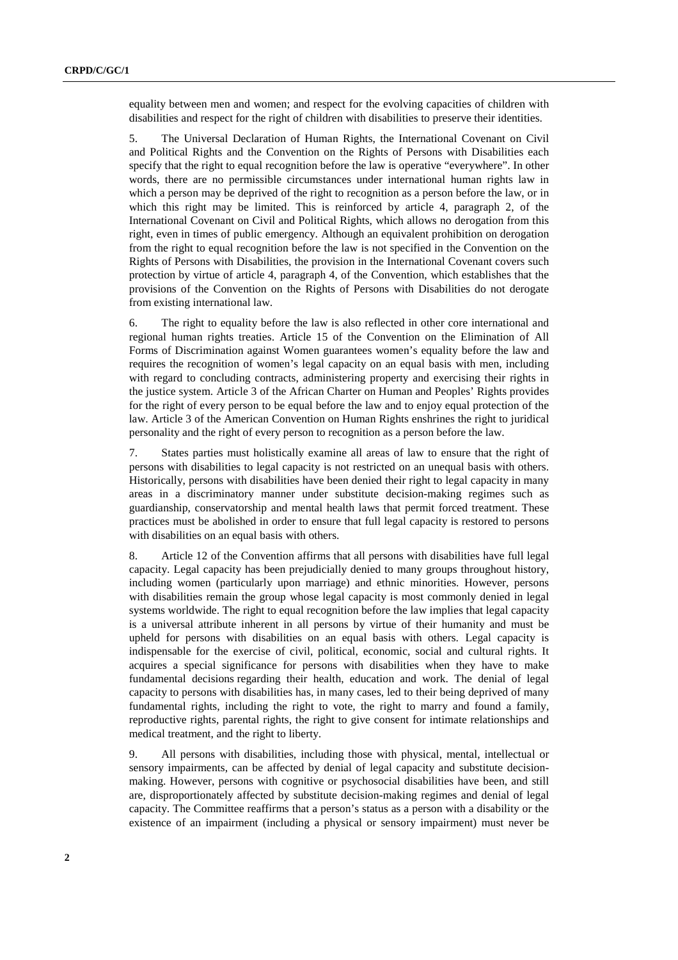equality between men and women; and respect for the evolving capacities of children with disabilities and respect for the right of children with disabilities to preserve their identities.

5. The Universal Declaration of Human Rights, the International Covenant on Civil and Political Rights and the Convention on the Rights of Persons with Disabilities each specify that the right to equal recognition before the law is operative "everywhere". In other words, there are no permissible circumstances under international human rights law in which a person may be deprived of the right to recognition as a person before the law, or in which this right may be limited. This is reinforced by article 4, paragraph 2, of the International Covenant on Civil and Political Rights, which allows no derogation from this right, even in times of public emergency. Although an equivalent prohibition on derogation from the right to equal recognition before the law is not specified in the Convention on the Rights of Persons with Disabilities, the provision in the International Covenant covers such protection by virtue of article 4, paragraph 4, of the Convention, which establishes that the provisions of the Convention on the Rights of Persons with Disabilities do not derogate from existing international law.

6. The right to equality before the law is also reflected in other core international and regional human rights treaties. Article 15 of the Convention on the Elimination of All Forms of Discrimination against Women guarantees women's equality before the law and requires the recognition of women's legal capacity on an equal basis with men, including with regard to concluding contracts, administering property and exercising their rights in the justice system. Article 3 of the African Charter on Human and Peoples' Rights provides for the right of every person to be equal before the law and to enjoy equal protection of the law. Article 3 of the American Convention on Human Rights enshrines the right to juridical personality and the right of every person to recognition as a person before the law.

7. States parties must holistically examine all areas of law to ensure that the right of persons with disabilities to legal capacity is not restricted on an unequal basis with others. Historically, persons with disabilities have been denied their right to legal capacity in many areas in a discriminatory manner under substitute decision-making regimes such as guardianship, conservatorship and mental health laws that permit forced treatment. These practices must be abolished in order to ensure that full legal capacity is restored to persons with disabilities on an equal basis with others.

8. Article 12 of the Convention affirms that all persons with disabilities have full legal capacity. Legal capacity has been prejudicially denied to many groups throughout history, including women (particularly upon marriage) and ethnic minorities. However, persons with disabilities remain the group whose legal capacity is most commonly denied in legal systems worldwide. The right to equal recognition before the law implies that legal capacity is a universal attribute inherent in all persons by virtue of their humanity and must be upheld for persons with disabilities on an equal basis with others. Legal capacity is indispensable for the exercise of civil, political, economic, social and cultural rights. It acquires a special significance for persons with disabilities when they have to make fundamental decisions regarding their health, education and work. The denial of legal capacity to persons with disabilities has, in many cases, led to their being deprived of many fundamental rights, including the right to vote, the right to marry and found a family, reproductive rights, parental rights, the right to give consent for intimate relationships and medical treatment, and the right to liberty.

9. All persons with disabilities, including those with physical, mental, intellectual or sensory impairments, can be affected by denial of legal capacity and substitute decisionmaking. However, persons with cognitive or psychosocial disabilities have been, and still are, disproportionately affected by substitute decision-making regimes and denial of legal capacity. The Committee reaffirms that a person's status as a person with a disability or the existence of an impairment (including a physical or sensory impairment) must never be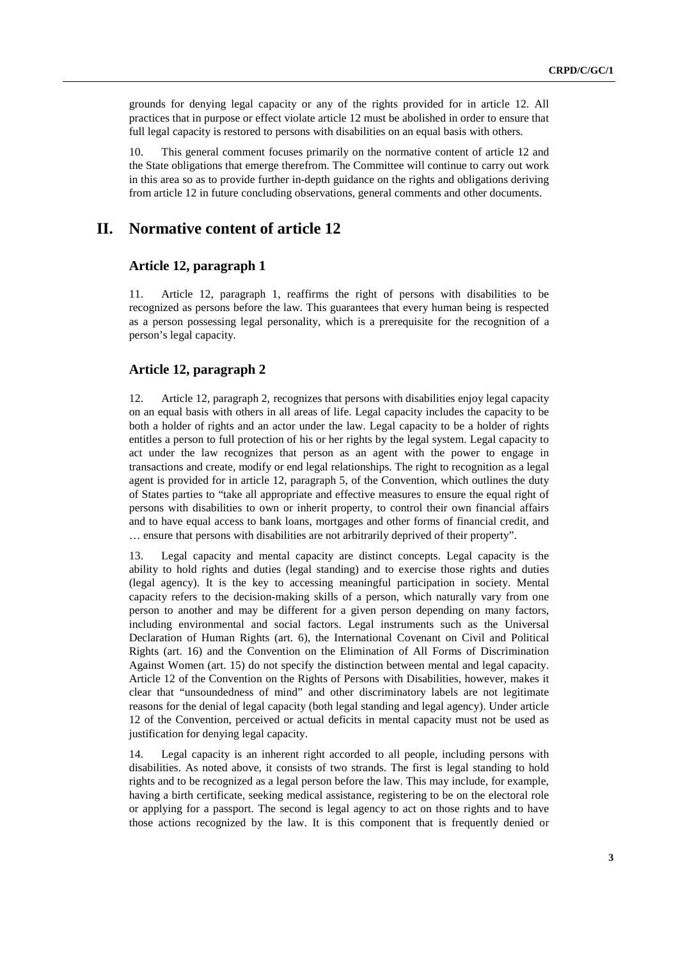grounds for denying legal capacity or any of the rights provided for in article 12. All practices that in purpose or effect violate article 12 must be abolished in order to ensure that full legal capacity is restored to persons with disabilities on an equal basis with others.

10. This general comment focuses primarily on the normative content of article 12 and the State obligations that emerge therefrom. The Committee will continue to carry out work in this area so as to provide further in-depth guidance on the rights and obligations deriving from article 12 in future concluding observations, general comments and other documents.

# **II. Normative content of article 12**

#### **Article 12, paragraph 1**

11. Article 12, paragraph 1, reaffirms the right of persons with disabilities to be recognized as persons before the law. This guarantees that every human being is respected as a person possessing legal personality, which is a prerequisite for the recognition of a person's legal capacity.

#### **Article 12, paragraph 2**

12. Article 12, paragraph 2, recognizes that persons with disabilities enjoy legal capacity on an equal basis with others in all areas of life. Legal capacity includes the capacity to be both a holder of rights and an actor under the law. Legal capacity to be a holder of rights entitles a person to full protection of his or her rights by the legal system. Legal capacity to act under the law recognizes that person as an agent with the power to engage in transactions and create, modify or end legal relationships. The right to recognition as a legal agent is provided for in article 12, paragraph 5, of the Convention, which outlines the duty of States parties to "take all appropriate and effective measures to ensure the equal right of persons with disabilities to own or inherit property, to control their own financial affairs and to have equal access to bank loans, mortgages and other forms of financial credit, and … ensure that persons with disabilities are not arbitrarily deprived of their property".

13. Legal capacity and mental capacity are distinct concepts. Legal capacity is the ability to hold rights and duties (legal standing) and to exercise those rights and duties (legal agency). It is the key to accessing meaningful participation in society. Mental capacity refers to the decision-making skills of a person, which naturally vary from one person to another and may be different for a given person depending on many factors, including environmental and social factors. Legal instruments such as the Universal Declaration of Human Rights (art. 6), the International Covenant on Civil and Political Rights (art. 16) and the Convention on the Elimination of All Forms of Discrimination Against Women (art. 15) do not specify the distinction between mental and legal capacity. Article 12 of the Convention on the Rights of Persons with Disabilities, however, makes it clear that "unsoundedness of mind" and other discriminatory labels are not legitimate reasons for the denial of legal capacity (both legal standing and legal agency). Under article 12 of the Convention, perceived or actual deficits in mental capacity must not be used as justification for denying legal capacity.

14. Legal capacity is an inherent right accorded to all people, including persons with disabilities. As noted above, it consists of two strands. The first is legal standing to hold rights and to be recognized as a legal person before the law. This may include, for example, having a birth certificate, seeking medical assistance, registering to be on the electoral role or applying for a passport. The second is legal agency to act on those rights and to have those actions recognized by the law. It is this component that is frequently denied or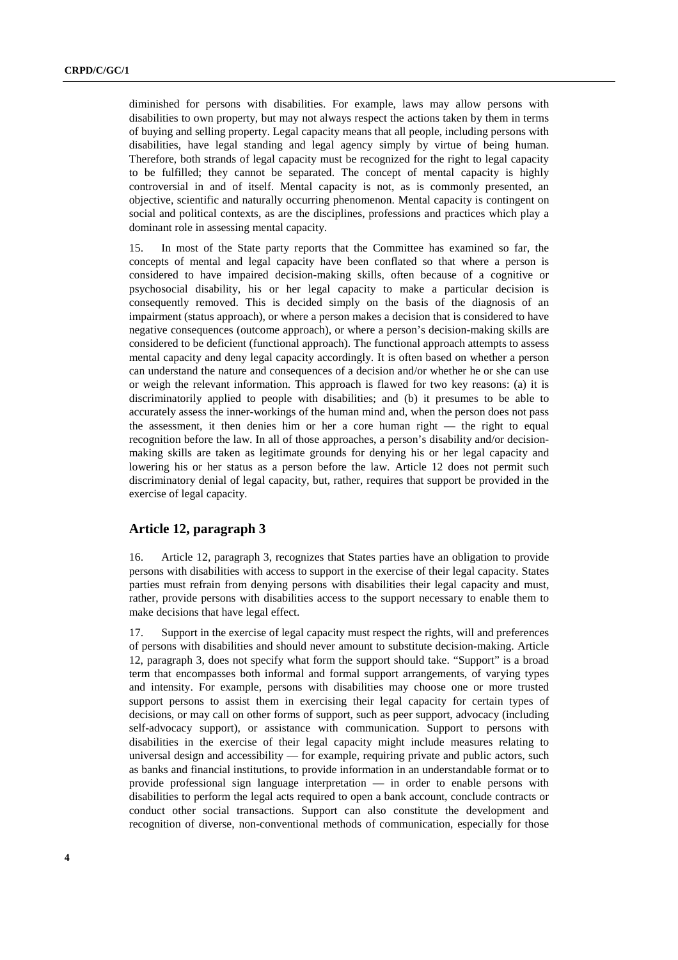diminished for persons with disabilities. For example, laws may allow persons with disabilities to own property, but may not always respect the actions taken by them in terms of buying and selling property. Legal capacity means that all people, including persons with disabilities, have legal standing and legal agency simply by virtue of being human. Therefore, both strands of legal capacity must be recognized for the right to legal capacity to be fulfilled; they cannot be separated. The concept of mental capacity is highly controversial in and of itself. Mental capacity is not, as is commonly presented, an objective, scientific and naturally occurring phenomenon. Mental capacity is contingent on social and political contexts, as are the disciplines, professions and practices which play a dominant role in assessing mental capacity.

15. In most of the State party reports that the Committee has examined so far, the concepts of mental and legal capacity have been conflated so that where a person is considered to have impaired decision-making skills, often because of a cognitive or psychosocial disability, his or her legal capacity to make a particular decision is consequently removed. This is decided simply on the basis of the diagnosis of an impairment (status approach), or where a person makes a decision that is considered to have negative consequences (outcome approach), or where a person's decision-making skills are considered to be deficient (functional approach). The functional approach attempts to assess mental capacity and deny legal capacity accordingly. It is often based on whether a person can understand the nature and consequences of a decision and/or whether he or she can use or weigh the relevant information. This approach is flawed for two key reasons: (a) it is discriminatorily applied to people with disabilities; and (b) it presumes to be able to accurately assess the inner-workings of the human mind and, when the person does not pass the assessment, it then denies him or her a core human right — the right to equal recognition before the law. In all of those approaches, a person's disability and/or decisionmaking skills are taken as legitimate grounds for denying his or her legal capacity and lowering his or her status as a person before the law. Article 12 does not permit such discriminatory denial of legal capacity, but, rather, requires that support be provided in the exercise of legal capacity.

### **Article 12, paragraph 3**

16. Article 12, paragraph 3, recognizes that States parties have an obligation to provide persons with disabilities with access to support in the exercise of their legal capacity. States parties must refrain from denying persons with disabilities their legal capacity and must, rather, provide persons with disabilities access to the support necessary to enable them to make decisions that have legal effect.

17. Support in the exercise of legal capacity must respect the rights, will and preferences of persons with disabilities and should never amount to substitute decision-making. Article 12, paragraph 3, does not specify what form the support should take. "Support" is a broad term that encompasses both informal and formal support arrangements, of varying types and intensity. For example, persons with disabilities may choose one or more trusted support persons to assist them in exercising their legal capacity for certain types of decisions, or may call on other forms of support, such as peer support, advocacy (including self-advocacy support), or assistance with communication. Support to persons with disabilities in the exercise of their legal capacity might include measures relating to universal design and accessibility — for example, requiring private and public actors, such as banks and financial institutions, to provide information in an understandable format or to provide professional sign language interpretation — in order to enable persons with disabilities to perform the legal acts required to open a bank account, conclude contracts or conduct other social transactions. Support can also constitute the development and recognition of diverse, non-conventional methods of communication, especially for those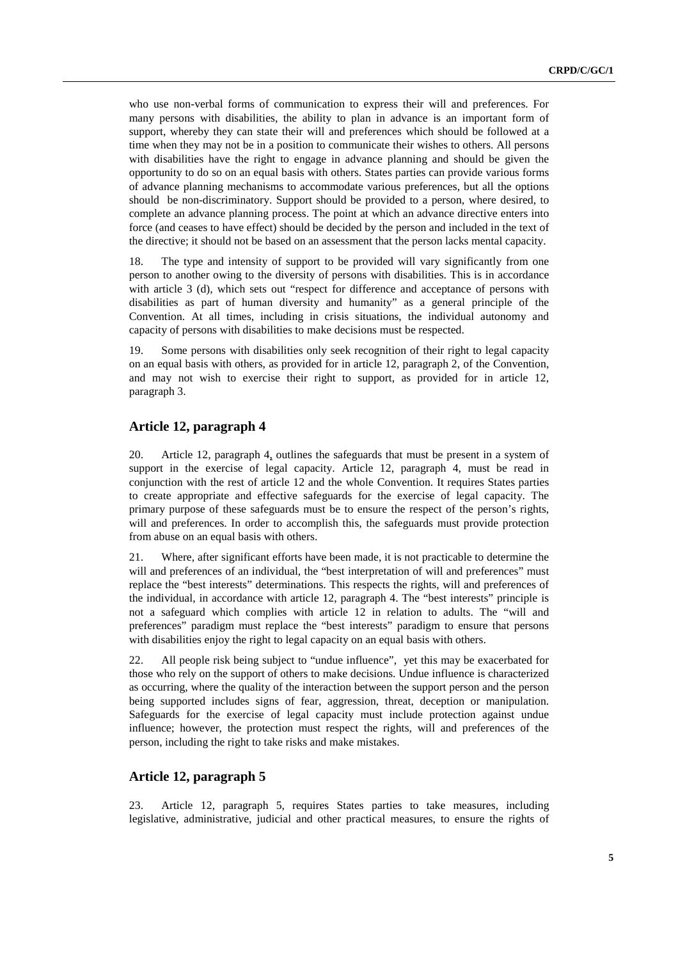who use non-verbal forms of communication to express their will and preferences. For many persons with disabilities, the ability to plan in advance is an important form of support, whereby they can state their will and preferences which should be followed at a time when they may not be in a position to communicate their wishes to others. All persons with disabilities have the right to engage in advance planning and should be given the opportunity to do so on an equal basis with others. States parties can provide various forms of advance planning mechanisms to accommodate various preferences, but all the options should be non-discriminatory. Support should be provided to a person, where desired, to complete an advance planning process. The point at which an advance directive enters into force (and ceases to have effect) should be decided by the person and included in the text of the directive; it should not be based on an assessment that the person lacks mental capacity.

18. The type and intensity of support to be provided will vary significantly from one person to another owing to the diversity of persons with disabilities. This is in accordance with article 3 (d), which sets out "respect for difference and acceptance of persons with disabilities as part of human diversity and humanity" as a general principle of the Convention. At all times, including in crisis situations, the individual autonomy and capacity of persons with disabilities to make decisions must be respected.

19. Some persons with disabilities only seek recognition of their right to legal capacity on an equal basis with others, as provided for in article 12, paragraph 2, of the Convention, and may not wish to exercise their right to support, as provided for in article 12, paragraph 3.

## **Article 12, paragraph 4**

20. Article 12, paragraph 4, outlines the safeguards that must be present in a system of support in the exercise of legal capacity. Article 12, paragraph 4, must be read in conjunction with the rest of article 12 and the whole Convention. It requires States parties to create appropriate and effective safeguards for the exercise of legal capacity. The primary purpose of these safeguards must be to ensure the respect of the person's rights, will and preferences. In order to accomplish this, the safeguards must provide protection from abuse on an equal basis with others.

21. Where, after significant efforts have been made, it is not practicable to determine the will and preferences of an individual, the "best interpretation of will and preferences" must replace the "best interests" determinations. This respects the rights, will and preferences of the individual, in accordance with article 12, paragraph 4. The "best interests" principle is not a safeguard which complies with article 12 in relation to adults. The "will and preferences" paradigm must replace the "best interests" paradigm to ensure that persons with disabilities enjoy the right to legal capacity on an equal basis with others.

22. All people risk being subject to "undue influence", yet this may be exacerbated for those who rely on the support of others to make decisions. Undue influence is characterized as occurring, where the quality of the interaction between the support person and the person being supported includes signs of fear, aggression, threat, deception or manipulation. Safeguards for the exercise of legal capacity must include protection against undue influence; however, the protection must respect the rights, will and preferences of the person, including the right to take risks and make mistakes.

## **Article 12, paragraph 5**

23. Article 12, paragraph 5, requires States parties to take measures, including legislative, administrative, judicial and other practical measures, to ensure the rights of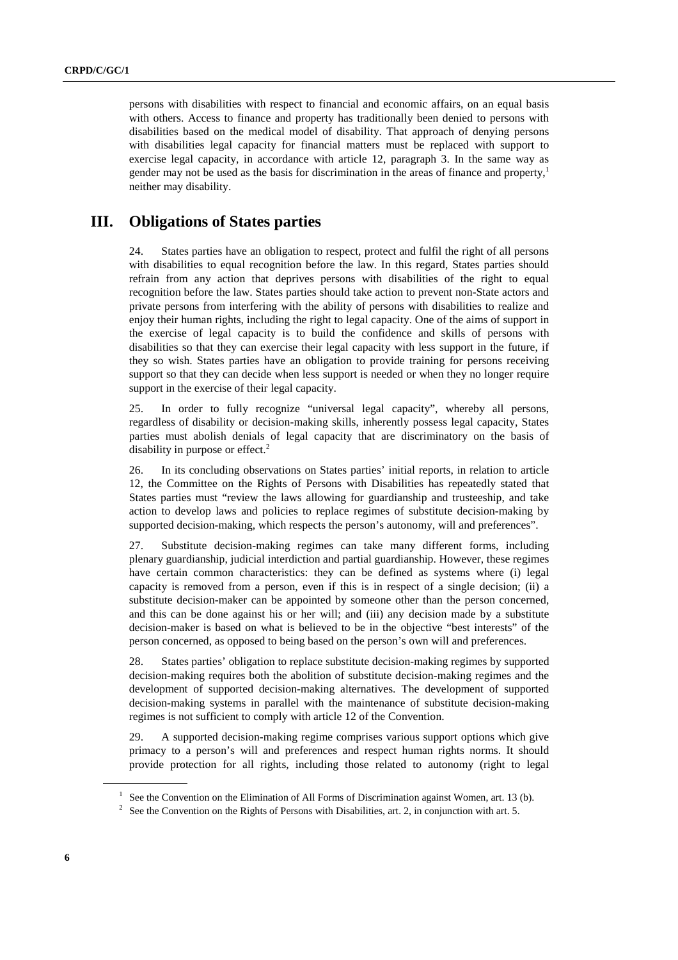persons with disabilities with respect to financial and economic affairs, on an equal basis with others. Access to finance and property has traditionally been denied to persons with disabilities based on the medical model of disability. That approach of denying persons with disabilities legal capacity for financial matters must be replaced with support to exercise legal capacity, in accordance with article 12, paragraph 3. In the same way as gender may not be used as the basis for discrimination in the areas of finance and property.<sup>1</sup> neither may disability.

# **III. Obligations of States parties**

24. States parties have an obligation to respect, protect and fulfil the right of all persons with disabilities to equal recognition before the law. In this regard, States parties should refrain from any action that deprives persons with disabilities of the right to equal recognition before the law. States parties should take action to prevent non-State actors and private persons from interfering with the ability of persons with disabilities to realize and enjoy their human rights, including the right to legal capacity. One of the aims of support in the exercise of legal capacity is to build the confidence and skills of persons with disabilities so that they can exercise their legal capacity with less support in the future, if they so wish. States parties have an obligation to provide training for persons receiving support so that they can decide when less support is needed or when they no longer require support in the exercise of their legal capacity.

25. In order to fully recognize "universal legal capacity", whereby all persons, regardless of disability or decision-making skills, inherently possess legal capacity, States parties must abolish denials of legal capacity that are discriminatory on the basis of disability in purpose or effect. $2$ 

26. In its concluding observations on States parties' initial reports, in relation to article 12, the Committee on the Rights of Persons with Disabilities has repeatedly stated that States parties must "review the laws allowing for guardianship and trusteeship, and take action to develop laws and policies to replace regimes of substitute decision-making by supported decision-making, which respects the person's autonomy, will and preferences".

27. Substitute decision-making regimes can take many different forms, including plenary guardianship, judicial interdiction and partial guardianship. However, these regimes have certain common characteristics: they can be defined as systems where (i) legal capacity is removed from a person, even if this is in respect of a single decision; (ii) a substitute decision-maker can be appointed by someone other than the person concerned, and this can be done against his or her will; and (iii) any decision made by a substitute decision-maker is based on what is believed to be in the objective "best interests" of the person concerned, as opposed to being based on the person's own will and preferences.

28. States parties' obligation to replace substitute decision-making regimes by supported decision-making requires both the abolition of substitute decision-making regimes and the development of supported decision-making alternatives. The development of supported decision-making systems in parallel with the maintenance of substitute decision-making regimes is not sufficient to comply with article 12 of the Convention.

29. A supported decision-making regime comprises various support options which give primacy to a person's will and preferences and respect human rights norms. It should provide protection for all rights, including those related to autonomy (right to legal

<sup>&</sup>lt;sup>1</sup> See the Convention on the Elimination of All Forms of Discrimination against Women, art. 13 (b). <sup>2</sup> See the Convention on the Rights of Persons with Disabilities, art. 2, in conjunction with art. 5.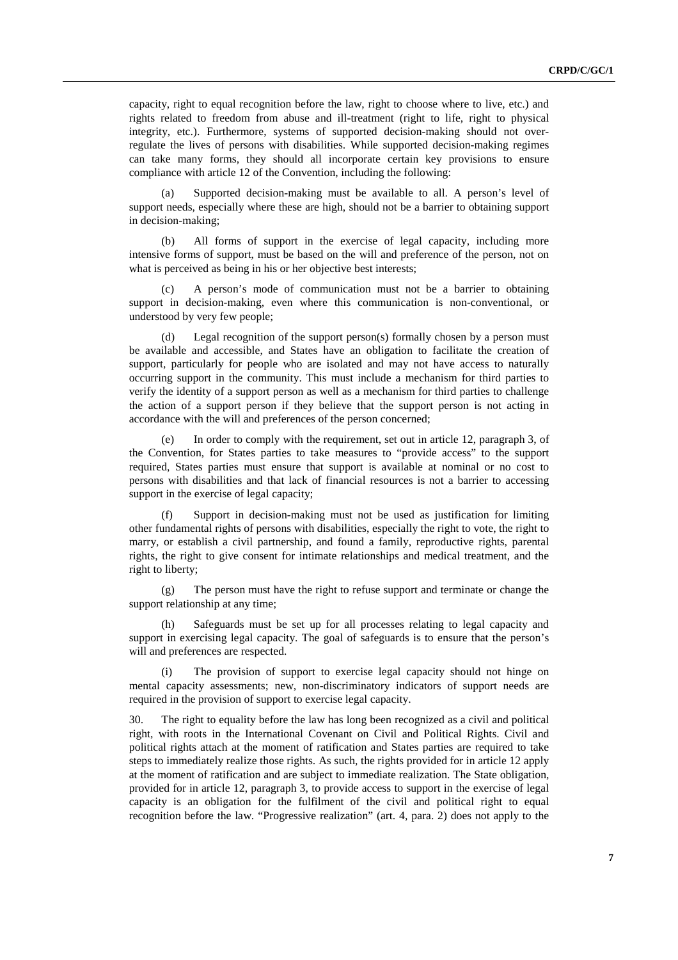capacity, right to equal recognition before the law, right to choose where to live, etc.) and rights related to freedom from abuse and ill-treatment (right to life, right to physical integrity, etc.). Furthermore, systems of supported decision-making should not overregulate the lives of persons with disabilities. While supported decision-making regimes can take many forms, they should all incorporate certain key provisions to ensure compliance with article 12 of the Convention, including the following:

(a) Supported decision-making must be available to all. A person's level of support needs, especially where these are high, should not be a barrier to obtaining support in decision-making;

(b) All forms of support in the exercise of legal capacity, including more intensive forms of support, must be based on the will and preference of the person, not on what is perceived as being in his or her objective best interests;

(c) A person's mode of communication must not be a barrier to obtaining support in decision-making, even where this communication is non-conventional, or understood by very few people;

(d) Legal recognition of the support person(s) formally chosen by a person must be available and accessible, and States have an obligation to facilitate the creation of support, particularly for people who are isolated and may not have access to naturally occurring support in the community. This must include a mechanism for third parties to verify the identity of a support person as well as a mechanism for third parties to challenge the action of a support person if they believe that the support person is not acting in accordance with the will and preferences of the person concerned;

(e) In order to comply with the requirement, set out in article 12, paragraph 3, of the Convention, for States parties to take measures to "provide access" to the support required, States parties must ensure that support is available at nominal or no cost to persons with disabilities and that lack of financial resources is not a barrier to accessing support in the exercise of legal capacity;

(f) Support in decision-making must not be used as justification for limiting other fundamental rights of persons with disabilities, especially the right to vote, the right to marry, or establish a civil partnership, and found a family, reproductive rights, parental rights, the right to give consent for intimate relationships and medical treatment, and the right to liberty;

(g) The person must have the right to refuse support and terminate or change the support relationship at any time;

(h) Safeguards must be set up for all processes relating to legal capacity and support in exercising legal capacity. The goal of safeguards is to ensure that the person's will and preferences are respected.

(i) The provision of support to exercise legal capacity should not hinge on mental capacity assessments; new, non-discriminatory indicators of support needs are required in the provision of support to exercise legal capacity.

30. The right to equality before the law has long been recognized as a civil and political right, with roots in the International Covenant on Civil and Political Rights. Civil and political rights attach at the moment of ratification and States parties are required to take steps to immediately realize those rights. As such, the rights provided for in article 12 apply at the moment of ratification and are subject to immediate realization. The State obligation, provided for in article 12, paragraph 3, to provide access to support in the exercise of legal capacity is an obligation for the fulfilment of the civil and political right to equal recognition before the law. "Progressive realization" (art. 4, para. 2) does not apply to the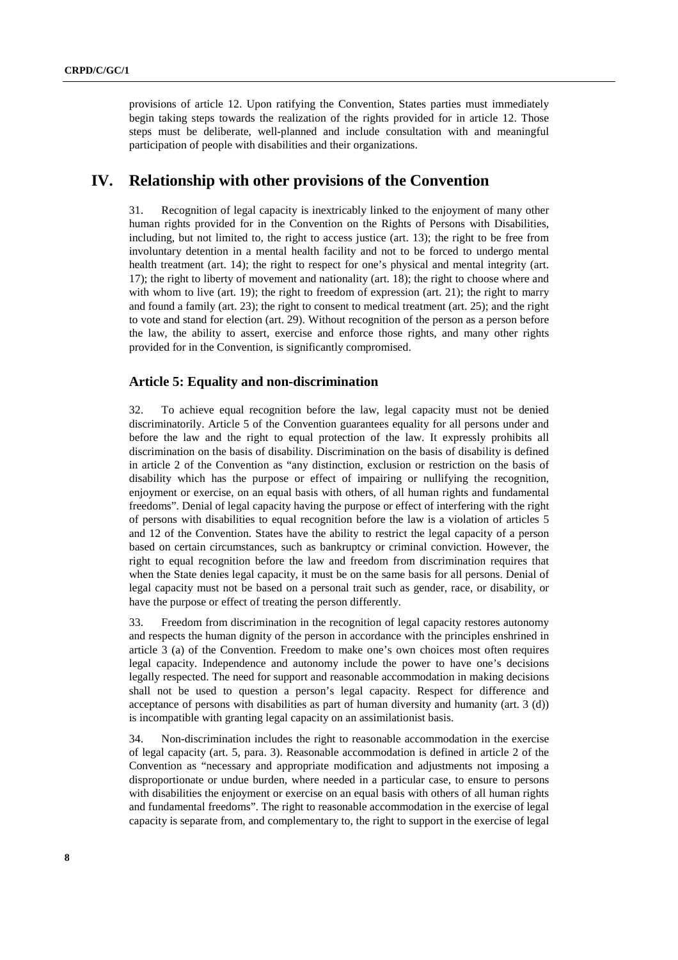provisions of article 12. Upon ratifying the Convention, States parties must immediately begin taking steps towards the realization of the rights provided for in article 12. Those steps must be deliberate, well-planned and include consultation with and meaningful participation of people with disabilities and their organizations.

# **IV. Relationship with other provisions of the Convention**

31. Recognition of legal capacity is inextricably linked to the enjoyment of many other human rights provided for in the Convention on the Rights of Persons with Disabilities, including, but not limited to, the right to access justice (art. 13); the right to be free from involuntary detention in a mental health facility and not to be forced to undergo mental health treatment (art. 14); the right to respect for one's physical and mental integrity (art. 17); the right to liberty of movement and nationality (art. 18); the right to choose where and with whom to live (art. 19); the right to freedom of expression (art. 21); the right to marry and found a family (art. 23); the right to consent to medical treatment (art. 25); and the right to vote and stand for election (art. 29). Without recognition of the person as a person before the law, the ability to assert, exercise and enforce those rights, and many other rights provided for in the Convention, is significantly compromised.

### **Article 5: Equality and non-discrimination**

32. To achieve equal recognition before the law, legal capacity must not be denied discriminatorily. Article 5 of the Convention guarantees equality for all persons under and before the law and the right to equal protection of the law. It expressly prohibits all discrimination on the basis of disability. Discrimination on the basis of disability is defined in article 2 of the Convention as "any distinction, exclusion or restriction on the basis of disability which has the purpose or effect of impairing or nullifying the recognition, enjoyment or exercise, on an equal basis with others, of all human rights and fundamental freedoms". Denial of legal capacity having the purpose or effect of interfering with the right of persons with disabilities to equal recognition before the law is a violation of articles 5 and 12 of the Convention. States have the ability to restrict the legal capacity of a person based on certain circumstances, such as bankruptcy or criminal conviction. However, the right to equal recognition before the law and freedom from discrimination requires that when the State denies legal capacity, it must be on the same basis for all persons. Denial of legal capacity must not be based on a personal trait such as gender, race, or disability, or have the purpose or effect of treating the person differently.

33. Freedom from discrimination in the recognition of legal capacity restores autonomy and respects the human dignity of the person in accordance with the principles enshrined in article 3 (a) of the Convention. Freedom to make one's own choices most often requires legal capacity. Independence and autonomy include the power to have one's decisions legally respected. The need for support and reasonable accommodation in making decisions shall not be used to question a person's legal capacity. Respect for difference and acceptance of persons with disabilities as part of human diversity and humanity (art. 3 (d)) is incompatible with granting legal capacity on an assimilationist basis.

34. Non-discrimination includes the right to reasonable accommodation in the exercise of legal capacity (art. 5, para. 3). Reasonable accommodation is defined in article 2 of the Convention as "necessary and appropriate modification and adjustments not imposing a disproportionate or undue burden, where needed in a particular case, to ensure to persons with disabilities the enjoyment or exercise on an equal basis with others of all human rights and fundamental freedoms". The right to reasonable accommodation in the exercise of legal capacity is separate from, and complementary to, the right to support in the exercise of legal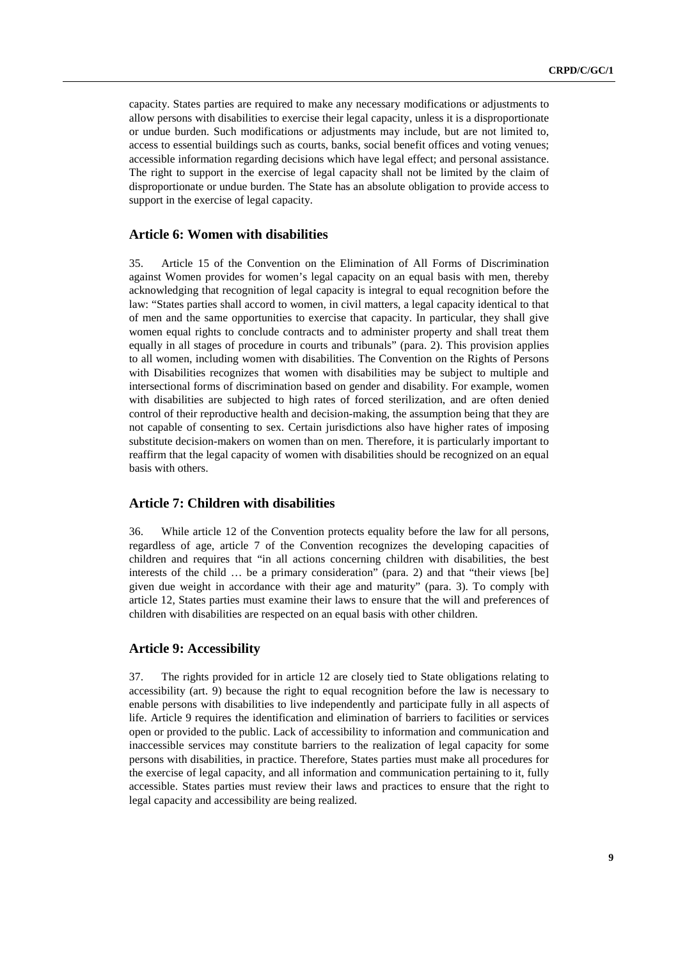capacity. States parties are required to make any necessary modifications or adjustments to allow persons with disabilities to exercise their legal capacity, unless it is a disproportionate or undue burden. Such modifications or adjustments may include, but are not limited to, access to essential buildings such as courts, banks, social benefit offices and voting venues; accessible information regarding decisions which have legal effect; and personal assistance. The right to support in the exercise of legal capacity shall not be limited by the claim of disproportionate or undue burden. The State has an absolute obligation to provide access to support in the exercise of legal capacity.

#### **Article 6: Women with disabilities**

35. Article 15 of the Convention on the Elimination of All Forms of Discrimination against Women provides for women's legal capacity on an equal basis with men, thereby acknowledging that recognition of legal capacity is integral to equal recognition before the law: "States parties shall accord to women, in civil matters, a legal capacity identical to that of men and the same opportunities to exercise that capacity. In particular, they shall give women equal rights to conclude contracts and to administer property and shall treat them equally in all stages of procedure in courts and tribunals" (para. 2). This provision applies to all women, including women with disabilities. The Convention on the Rights of Persons with Disabilities recognizes that women with disabilities may be subject to multiple and intersectional forms of discrimination based on gender and disability. For example, women with disabilities are subjected to high rates of forced sterilization, and are often denied control of their reproductive health and decision-making, the assumption being that they are not capable of consenting to sex. Certain jurisdictions also have higher rates of imposing substitute decision-makers on women than on men. Therefore, it is particularly important to reaffirm that the legal capacity of women with disabilities should be recognized on an equal basis with others.

#### **Article 7: Children with disabilities**

36. While article 12 of the Convention protects equality before the law for all persons, regardless of age, article 7 of the Convention recognizes the developing capacities of children and requires that "in all actions concerning children with disabilities, the best interests of the child … be a primary consideration" (para. 2) and that "their views [be] given due weight in accordance with their age and maturity" (para. 3). To comply with article 12, States parties must examine their laws to ensure that the will and preferences of children with disabilities are respected on an equal basis with other children.

#### **Article 9: Accessibility**

37. The rights provided for in article 12 are closely tied to State obligations relating to accessibility (art. 9) because the right to equal recognition before the law is necessary to enable persons with disabilities to live independently and participate fully in all aspects of life. Article 9 requires the identification and elimination of barriers to facilities or services open or provided to the public. Lack of accessibility to information and communication and inaccessible services may constitute barriers to the realization of legal capacity for some persons with disabilities, in practice. Therefore, States parties must make all procedures for the exercise of legal capacity, and all information and communication pertaining to it, fully accessible. States parties must review their laws and practices to ensure that the right to legal capacity and accessibility are being realized.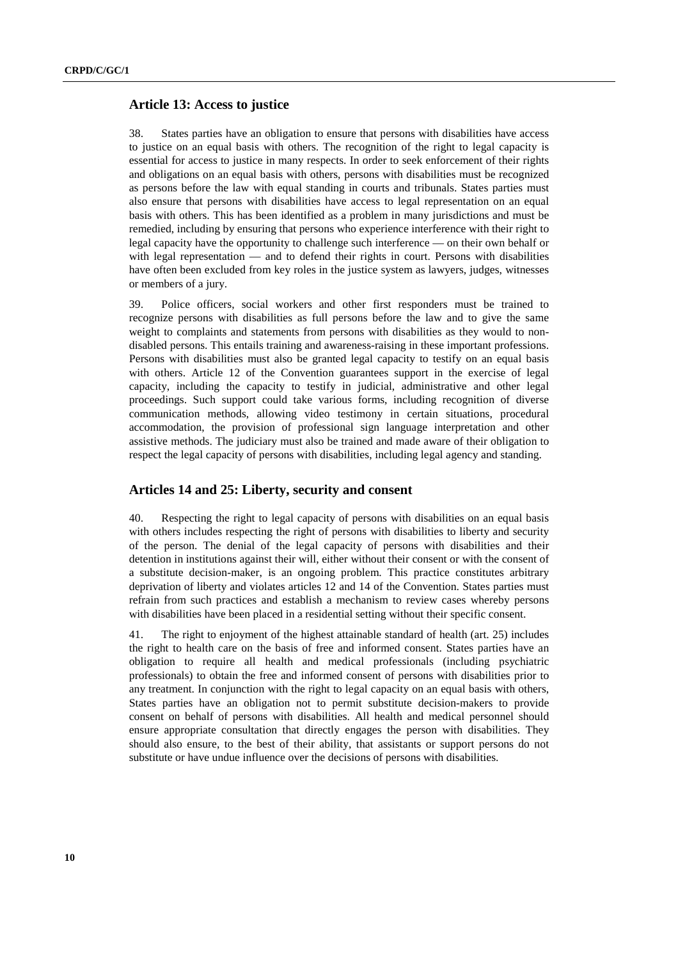#### **Article 13: Access to justice**

38. States parties have an obligation to ensure that persons with disabilities have access to justice on an equal basis with others. The recognition of the right to legal capacity is essential for access to justice in many respects. In order to seek enforcement of their rights and obligations on an equal basis with others, persons with disabilities must be recognized as persons before the law with equal standing in courts and tribunals. States parties must also ensure that persons with disabilities have access to legal representation on an equal basis with others. This has been identified as a problem in many jurisdictions and must be remedied, including by ensuring that persons who experience interference with their right to legal capacity have the opportunity to challenge such interference — on their own behalf or with legal representation — and to defend their rights in court. Persons with disabilities have often been excluded from key roles in the justice system as lawyers, judges, witnesses or members of a jury.

39. Police officers, social workers and other first responders must be trained to recognize persons with disabilities as full persons before the law and to give the same weight to complaints and statements from persons with disabilities as they would to nondisabled persons. This entails training and awareness-raising in these important professions. Persons with disabilities must also be granted legal capacity to testify on an equal basis with others. Article 12 of the Convention guarantees support in the exercise of legal capacity, including the capacity to testify in judicial, administrative and other legal proceedings. Such support could take various forms, including recognition of diverse communication methods, allowing video testimony in certain situations, procedural accommodation, the provision of professional sign language interpretation and other assistive methods. The judiciary must also be trained and made aware of their obligation to respect the legal capacity of persons with disabilities, including legal agency and standing.

#### **Articles 14 and 25: Liberty, security and consent**

40. Respecting the right to legal capacity of persons with disabilities on an equal basis with others includes respecting the right of persons with disabilities to liberty and security of the person. The denial of the legal capacity of persons with disabilities and their detention in institutions against their will, either without their consent or with the consent of a substitute decision-maker, is an ongoing problem. This practice constitutes arbitrary deprivation of liberty and violates articles 12 and 14 of the Convention. States parties must refrain from such practices and establish a mechanism to review cases whereby persons with disabilities have been placed in a residential setting without their specific consent.

41. The right to enjoyment of the highest attainable standard of health (art. 25) includes the right to health care on the basis of free and informed consent. States parties have an obligation to require all health and medical professionals (including psychiatric professionals) to obtain the free and informed consent of persons with disabilities prior to any treatment. In conjunction with the right to legal capacity on an equal basis with others, States parties have an obligation not to permit substitute decision-makers to provide consent on behalf of persons with disabilities. All health and medical personnel should ensure appropriate consultation that directly engages the person with disabilities. They should also ensure, to the best of their ability, that assistants or support persons do not substitute or have undue influence over the decisions of persons with disabilities.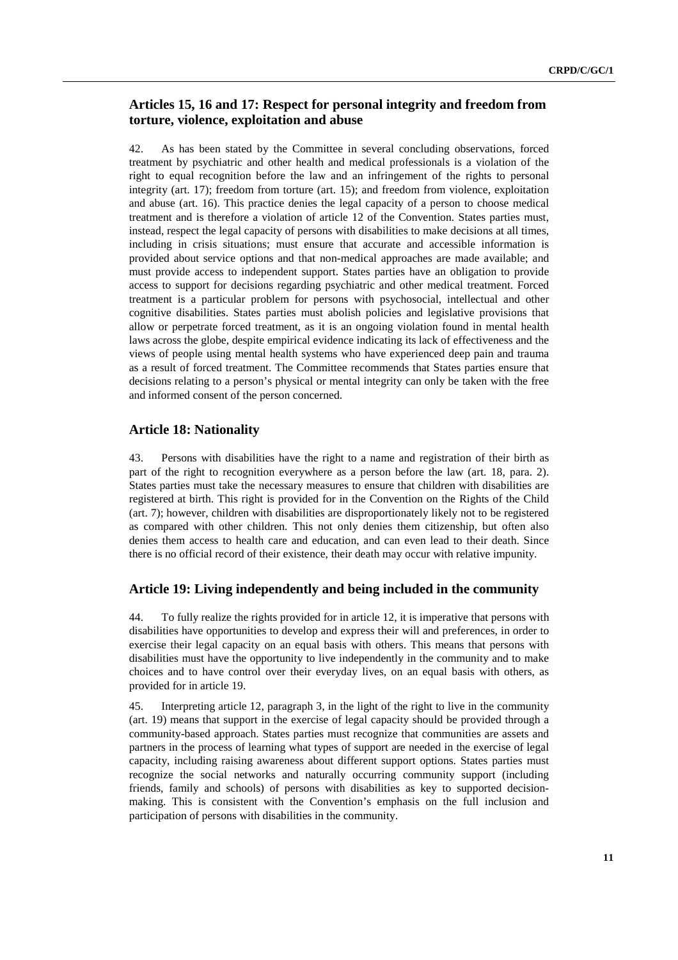## **Articles 15, 16 and 17: Respect for personal integrity and freedom from torture, violence, exploitation and abuse**

42. As has been stated by the Committee in several concluding observations, forced treatment by psychiatric and other health and medical professionals is a violation of the right to equal recognition before the law and an infringement of the rights to personal integrity (art. 17); freedom from torture (art. 15); and freedom from violence, exploitation and abuse (art. 16). This practice denies the legal capacity of a person to choose medical treatment and is therefore a violation of article 12 of the Convention. States parties must, instead, respect the legal capacity of persons with disabilities to make decisions at all times, including in crisis situations; must ensure that accurate and accessible information is provided about service options and that non-medical approaches are made available; and must provide access to independent support. States parties have an obligation to provide access to support for decisions regarding psychiatric and other medical treatment. Forced treatment is a particular problem for persons with psychosocial, intellectual and other cognitive disabilities. States parties must abolish policies and legislative provisions that allow or perpetrate forced treatment, as it is an ongoing violation found in mental health laws across the globe, despite empirical evidence indicating its lack of effectiveness and the views of people using mental health systems who have experienced deep pain and trauma as a result of forced treatment. The Committee recommends that States parties ensure that decisions relating to a person's physical or mental integrity can only be taken with the free and informed consent of the person concerned.

## **Article 18: Nationality**

43. Persons with disabilities have the right to a name and registration of their birth as part of the right to recognition everywhere as a person before the law (art. 18, para. 2). States parties must take the necessary measures to ensure that children with disabilities are registered at birth. This right is provided for in the Convention on the Rights of the Child (art. 7); however, children with disabilities are disproportionately likely not to be registered as compared with other children. This not only denies them citizenship, but often also denies them access to health care and education, and can even lead to their death. Since there is no official record of their existence, their death may occur with relative impunity.

#### **Article 19: Living independently and being included in the community**

44. To fully realize the rights provided for in article 12, it is imperative that persons with disabilities have opportunities to develop and express their will and preferences, in order to exercise their legal capacity on an equal basis with others. This means that persons with disabilities must have the opportunity to live independently in the community and to make choices and to have control over their everyday lives, on an equal basis with others, as provided for in article 19.

45. Interpreting article 12, paragraph 3, in the light of the right to live in the community (art. 19) means that support in the exercise of legal capacity should be provided through a community-based approach. States parties must recognize that communities are assets and partners in the process of learning what types of support are needed in the exercise of legal capacity, including raising awareness about different support options. States parties must recognize the social networks and naturally occurring community support (including friends, family and schools) of persons with disabilities as key to supported decisionmaking. This is consistent with the Convention's emphasis on the full inclusion and participation of persons with disabilities in the community.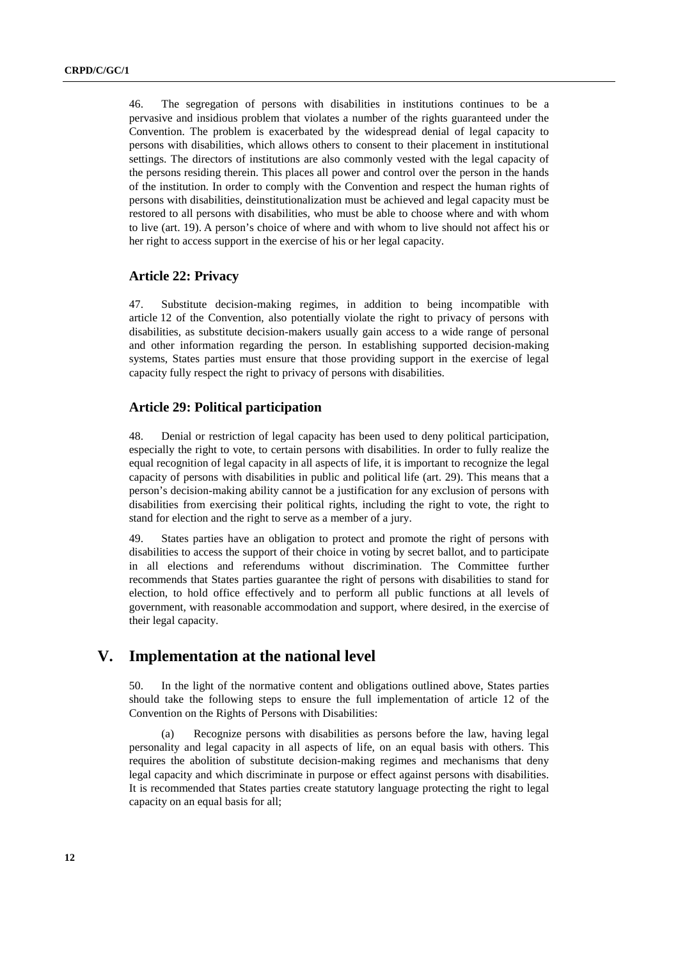46. The segregation of persons with disabilities in institutions continues to be a pervasive and insidious problem that violates a number of the rights guaranteed under the Convention. The problem is exacerbated by the widespread denial of legal capacity to persons with disabilities, which allows others to consent to their placement in institutional settings. The directors of institutions are also commonly vested with the legal capacity of the persons residing therein. This places all power and control over the person in the hands of the institution. In order to comply with the Convention and respect the human rights of persons with disabilities, deinstitutionalization must be achieved and legal capacity must be restored to all persons with disabilities, who must be able to choose where and with whom to live (art. 19). A person's choice of where and with whom to live should not affect his or her right to access support in the exercise of his or her legal capacity.

#### **Article 22: Privacy**

47. Substitute decision-making regimes, in addition to being incompatible with article 12 of the Convention, also potentially violate the right to privacy of persons with disabilities, as substitute decision-makers usually gain access to a wide range of personal and other information regarding the person. In establishing supported decision-making systems, States parties must ensure that those providing support in the exercise of legal capacity fully respect the right to privacy of persons with disabilities.

## **Article 29: Political participation**

48. Denial or restriction of legal capacity has been used to deny political participation, especially the right to vote, to certain persons with disabilities. In order to fully realize the equal recognition of legal capacity in all aspects of life, it is important to recognize the legal capacity of persons with disabilities in public and political life (art. 29). This means that a person's decision-making ability cannot be a justification for any exclusion of persons with disabilities from exercising their political rights, including the right to vote, the right to stand for election and the right to serve as a member of a jury.

49. States parties have an obligation to protect and promote the right of persons with disabilities to access the support of their choice in voting by secret ballot, and to participate in all elections and referendums without discrimination. The Committee further recommends that States parties guarantee the right of persons with disabilities to stand for election, to hold office effectively and to perform all public functions at all levels of government, with reasonable accommodation and support, where desired, in the exercise of their legal capacity.

## **V. Implementation at the national level**

50. In the light of the normative content and obligations outlined above, States parties should take the following steps to ensure the full implementation of article 12 of the Convention on the Rights of Persons with Disabilities:

(a) Recognize persons with disabilities as persons before the law, having legal personality and legal capacity in all aspects of life, on an equal basis with others. This requires the abolition of substitute decision-making regimes and mechanisms that deny legal capacity and which discriminate in purpose or effect against persons with disabilities. It is recommended that States parties create statutory language protecting the right to legal capacity on an equal basis for all;